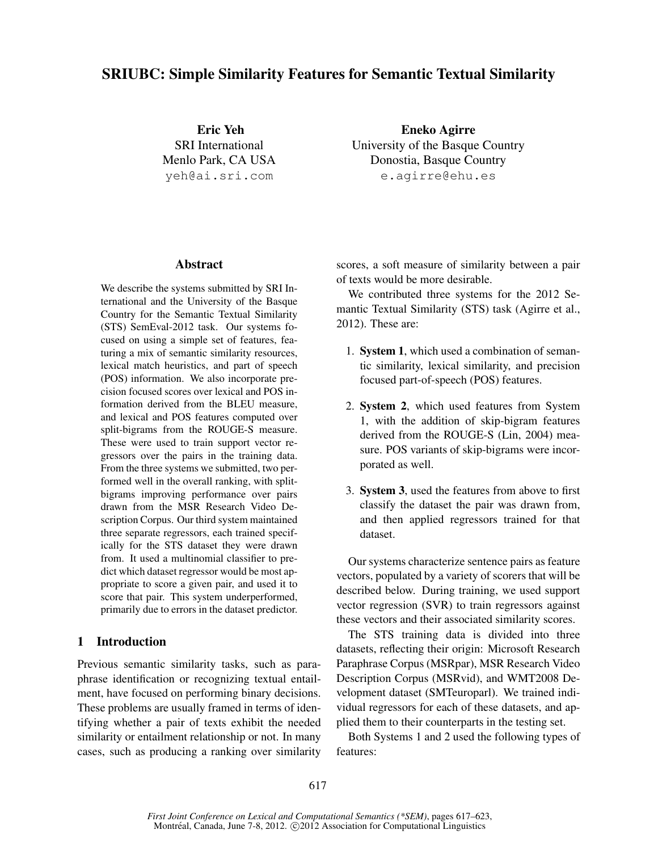# SRIUBC: Simple Similarity Features for Semantic Textual Similarity

Eric Yeh SRI International Menlo Park, CA USA yeh@ai.sri.com

Eneko Agirre University of the Basque Country Donostia, Basque Country e.agirre@ehu.es

# Abstract

We describe the systems submitted by SRI International and the University of the Basque Country for the Semantic Textual Similarity (STS) SemEval-2012 task. Our systems focused on using a simple set of features, featuring a mix of semantic similarity resources, lexical match heuristics, and part of speech (POS) information. We also incorporate precision focused scores over lexical and POS information derived from the BLEU measure, and lexical and POS features computed over split-bigrams from the ROUGE-S measure. These were used to train support vector regressors over the pairs in the training data. From the three systems we submitted, two performed well in the overall ranking, with splitbigrams improving performance over pairs drawn from the MSR Research Video Description Corpus. Our third system maintained three separate regressors, each trained specifically for the STS dataset they were drawn from. It used a multinomial classifier to predict which dataset regressor would be most appropriate to score a given pair, and used it to score that pair. This system underperformed, primarily due to errors in the dataset predictor.

# 1 Introduction

Previous semantic similarity tasks, such as paraphrase identification or recognizing textual entailment, have focused on performing binary decisions. These problems are usually framed in terms of identifying whether a pair of texts exhibit the needed similarity or entailment relationship or not. In many cases, such as producing a ranking over similarity scores, a soft measure of similarity between a pair of texts would be more desirable.

We contributed three systems for the 2012 Semantic Textual Similarity (STS) task (Agirre et al., 2012). These are:

- 1. System 1, which used a combination of semantic similarity, lexical similarity, and precision focused part-of-speech (POS) features.
- 2. System 2, which used features from System 1, with the addition of skip-bigram features derived from the ROUGE-S (Lin, 2004) measure. POS variants of skip-bigrams were incorporated as well.
- 3. System 3, used the features from above to first classify the dataset the pair was drawn from, and then applied regressors trained for that dataset.

Our systems characterize sentence pairs as feature vectors, populated by a variety of scorers that will be described below. During training, we used support vector regression (SVR) to train regressors against these vectors and their associated similarity scores.

The STS training data is divided into three datasets, reflecting their origin: Microsoft Research Paraphrase Corpus (MSRpar), MSR Research Video Description Corpus (MSRvid), and WMT2008 Development dataset (SMTeuroparl). We trained individual regressors for each of these datasets, and applied them to their counterparts in the testing set.

Both Systems 1 and 2 used the following types of features: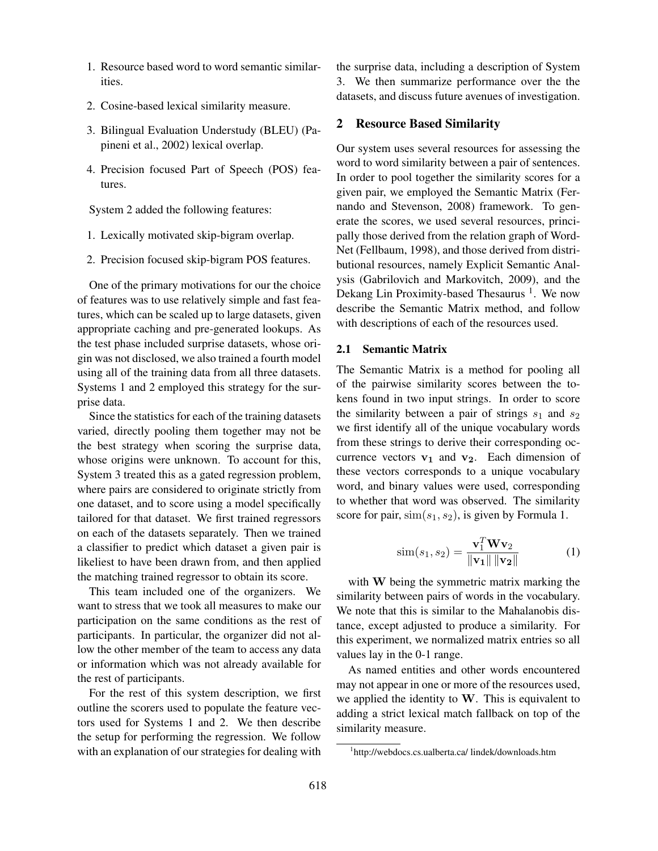- 1. Resource based word to word semantic similarities.
- 2. Cosine-based lexical similarity measure.
- 3. Bilingual Evaluation Understudy (BLEU) (Papineni et al., 2002) lexical overlap.
- 4. Precision focused Part of Speech (POS) features.

System 2 added the following features:

- 1. Lexically motivated skip-bigram overlap.
- 2. Precision focused skip-bigram POS features.

One of the primary motivations for our the choice of features was to use relatively simple and fast features, which can be scaled up to large datasets, given appropriate caching and pre-generated lookups. As the test phase included surprise datasets, whose origin was not disclosed, we also trained a fourth model using all of the training data from all three datasets. Systems 1 and 2 employed this strategy for the surprise data.

Since the statistics for each of the training datasets varied, directly pooling them together may not be the best strategy when scoring the surprise data, whose origins were unknown. To account for this, System 3 treated this as a gated regression problem, where pairs are considered to originate strictly from one dataset, and to score using a model specifically tailored for that dataset. We first trained regressors on each of the datasets separately. Then we trained a classifier to predict which dataset a given pair is likeliest to have been drawn from, and then applied the matching trained regressor to obtain its score.

This team included one of the organizers. We want to stress that we took all measures to make our participation on the same conditions as the rest of participants. In particular, the organizer did not allow the other member of the team to access any data or information which was not already available for the rest of participants.

For the rest of this system description, we first outline the scorers used to populate the feature vectors used for Systems 1 and 2. We then describe the setup for performing the regression. We follow with an explanation of our strategies for dealing with

the surprise data, including a description of System 3. We then summarize performance over the the datasets, and discuss future avenues of investigation.

## 2 Resource Based Similarity

Our system uses several resources for assessing the word to word similarity between a pair of sentences. In order to pool together the similarity scores for a given pair, we employed the Semantic Matrix (Fernando and Stevenson, 2008) framework. To generate the scores, we used several resources, principally those derived from the relation graph of Word-Net (Fellbaum, 1998), and those derived from distributional resources, namely Explicit Semantic Analysis (Gabrilovich and Markovitch, 2009), and the Dekang Lin Proximity-based Thesaurus<sup>1</sup>. We now describe the Semantic Matrix method, and follow with descriptions of each of the resources used.

#### 2.1 Semantic Matrix

The Semantic Matrix is a method for pooling all of the pairwise similarity scores between the tokens found in two input strings. In order to score the similarity between a pair of strings  $s_1$  and  $s_2$ we first identify all of the unique vocabulary words from these strings to derive their corresponding occurrence vectors  $v_1$  and  $v_2$ . Each dimension of these vectors corresponds to a unique vocabulary word, and binary values were used, corresponding to whether that word was observed. The similarity score for pair,  $\sin(s_1, s_2)$ , is given by Formula 1.

$$
\text{sim}(s_1, s_2) = \frac{\mathbf{v}_1^T \mathbf{W} \mathbf{v}_2}{\|\mathbf{v}_1\| \|\mathbf{v}_2\|} \tag{1}
$$

with W being the symmetric matrix marking the similarity between pairs of words in the vocabulary. We note that this is similar to the Mahalanobis distance, except adjusted to produce a similarity. For this experiment, we normalized matrix entries so all values lay in the 0-1 range.

As named entities and other words encountered may not appear in one or more of the resources used, we applied the identity to  $W$ . This is equivalent to adding a strict lexical match fallback on top of the similarity measure.

<sup>1</sup> http://webdocs.cs.ualberta.ca/ lindek/downloads.htm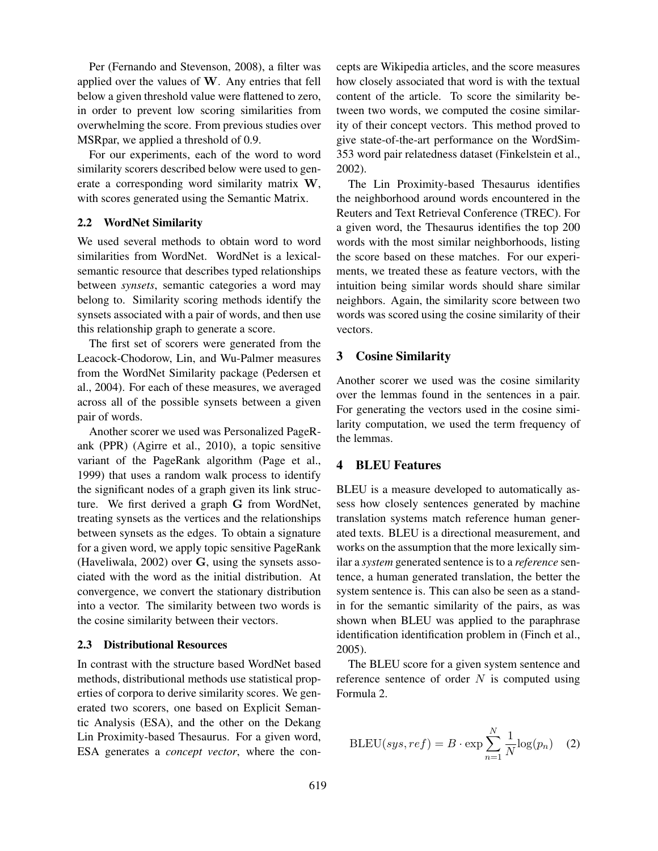Per (Fernando and Stevenson, 2008), a filter was applied over the values of W. Any entries that fell below a given threshold value were flattened to zero, in order to prevent low scoring similarities from overwhelming the score. From previous studies over MSRpar, we applied a threshold of 0.9.

For our experiments, each of the word to word similarity scorers described below were used to generate a corresponding word similarity matrix W, with scores generated using the Semantic Matrix.

#### 2.2 WordNet Similarity

We used several methods to obtain word to word similarities from WordNet. WordNet is a lexicalsemantic resource that describes typed relationships between *synsets*, semantic categories a word may belong to. Similarity scoring methods identify the synsets associated with a pair of words, and then use this relationship graph to generate a score.

The first set of scorers were generated from the Leacock-Chodorow, Lin, and Wu-Palmer measures from the WordNet Similarity package (Pedersen et al., 2004). For each of these measures, we averaged across all of the possible synsets between a given pair of words.

Another scorer we used was Personalized PageRank (PPR) (Agirre et al., 2010), a topic sensitive variant of the PageRank algorithm (Page et al., 1999) that uses a random walk process to identify the significant nodes of a graph given its link structure. We first derived a graph G from WordNet, treating synsets as the vertices and the relationships between synsets as the edges. To obtain a signature for a given word, we apply topic sensitive PageRank (Haveliwala, 2002) over G, using the synsets associated with the word as the initial distribution. At convergence, we convert the stationary distribution into a vector. The similarity between two words is the cosine similarity between their vectors.

## 2.3 Distributional Resources

In contrast with the structure based WordNet based methods, distributional methods use statistical properties of corpora to derive similarity scores. We generated two scorers, one based on Explicit Semantic Analysis (ESA), and the other on the Dekang Lin Proximity-based Thesaurus. For a given word, ESA generates a *concept vector*, where the concepts are Wikipedia articles, and the score measures how closely associated that word is with the textual content of the article. To score the similarity between two words, we computed the cosine similarity of their concept vectors. This method proved to give state-of-the-art performance on the WordSim-353 word pair relatedness dataset (Finkelstein et al., 2002).

The Lin Proximity-based Thesaurus identifies the neighborhood around words encountered in the Reuters and Text Retrieval Conference (TREC). For a given word, the Thesaurus identifies the top 200 words with the most similar neighborhoods, listing the score based on these matches. For our experiments, we treated these as feature vectors, with the intuition being similar words should share similar neighbors. Again, the similarity score between two words was scored using the cosine similarity of their vectors.

## 3 Cosine Similarity

Another scorer we used was the cosine similarity over the lemmas found in the sentences in a pair. For generating the vectors used in the cosine similarity computation, we used the term frequency of the lemmas.

#### 4 BLEU Features

BLEU is a measure developed to automatically assess how closely sentences generated by machine translation systems match reference human generated texts. BLEU is a directional measurement, and works on the assumption that the more lexically similar a *system* generated sentence is to a *reference* sentence, a human generated translation, the better the system sentence is. This can also be seen as a standin for the semantic similarity of the pairs, as was shown when BLEU was applied to the paraphrase identification identification problem in (Finch et al., 2005).

The BLEU score for a given system sentence and reference sentence of order  $N$  is computed using Formula 2.

$$
BLEU(sys, ref) = B \cdot \exp \sum_{n=1}^{N} \frac{1}{N} \log(p_n) \quad (2)
$$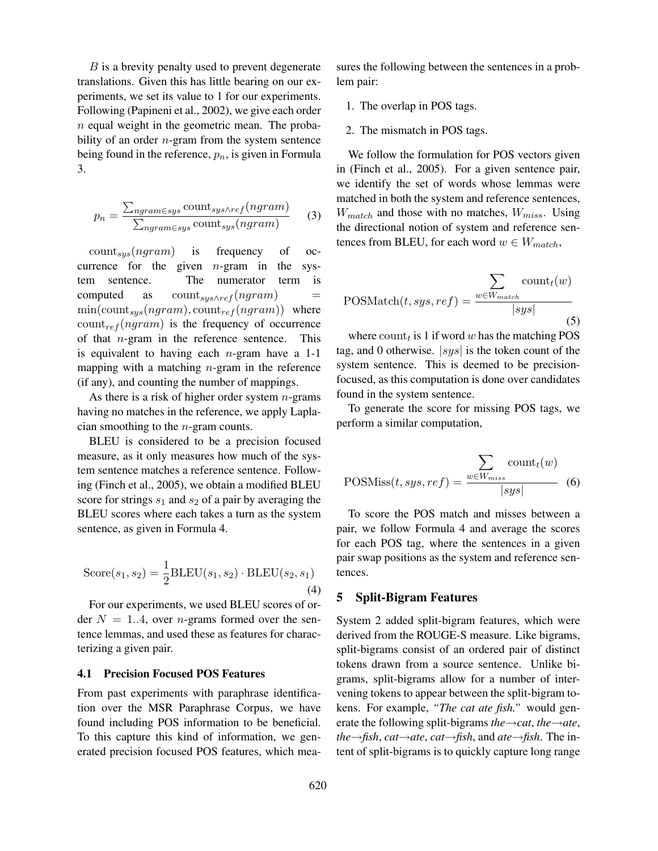B is a brevity penalty used to prevent degenerate translations. Given this has little bearing on our experiments, we set its value to 1 for our experiments. Following (Papineni et al., 2002), we give each order  $n$  equal weight in the geometric mean. The probability of an order  $n$ -gram from the system sentence being found in the reference,  $p_n$ , is given in Formula 3.

$$
p_n = \frac{\sum_{ngram \in sys} count_{sys \land ref}(ngram)}{\sum_{ngram \in sys} count_{sys}(ngram)} \qquad (3)
$$

 $count_{sys}(ngram)$  is frequency of occurrence for the given  $n$ -gram in the system sentence. The numerator term is computed as  $count_{sys\wedge ref}(ngram)$  $\min(\text{count}_{sys}(ngram), \text{count}_{ref}(ngram))$  where  $count_{ref}(ngram)$  is the frequency of occurrence of that  $n$ -gram in the reference sentence. This is equivalent to having each  $n$ -gram have a 1-1 mapping with a matching  $n$ -gram in the reference (if any), and counting the number of mappings.

As there is a risk of higher order system  $n$ -grams having no matches in the reference, we apply Laplacian smoothing to the n-gram counts.

BLEU is considered to be a precision focused measure, as it only measures how much of the system sentence matches a reference sentence. Following (Finch et al., 2005), we obtain a modified BLEU score for strings  $s_1$  and  $s_2$  of a pair by averaging the BLEU scores where each takes a turn as the system sentence, as given in Formula 4.

$$
Score(s_1, s_2) = \frac{1}{2}BLEU(s_1, s_2) \cdot BLEU(s_2, s_1)
$$
\n(4)

For our experiments, we used BLEU scores of order  $N = 1..4$ , over *n*-grams formed over the sentence lemmas, and used these as features for characterizing a given pair.

## 4.1 Precision Focused POS Features

From past experiments with paraphrase identification over the MSR Paraphrase Corpus, we have found including POS information to be beneficial. To this capture this kind of information, we generated precision focused POS features, which measures the following between the sentences in a problem pair:

- 1. The overlap in POS tags.
- 2. The mismatch in POS tags.

We follow the formulation for POS vectors given in (Finch et al., 2005). For a given sentence pair, we identify the set of words whose lemmas were matched in both the system and reference sentences,  $W_{match}$  and those with no matches,  $W_{miss}$ . Using the directional notion of system and reference sentences from BLEU, for each word  $w \in W_{match}$ ,

$$
POSMatch(t, sys, ref) = \frac{\sum_{w \in W_{match}} count_t(w)}{|sys|}
$$
\n(5)

where  $\text{count}_t$  is 1 if word w has the matching POS tag, and 0 otherwise.  $|sys|$  is the token count of the system sentence. This is deemed to be precisionfocused, as this computation is done over candidates found in the system sentence.

To generate the score for missing POS tags, we perform a similar computation,

$$
POSMiss(t, sys, ref) = \frac{\sum_{w \in W_{miss}} count_t(w)}{|sys|}
$$
 (6)

To score the POS match and misses between a pair, we follow Formula 4 and average the scores for each POS tag, where the sentences in a given pair swap positions as the system and reference sentences.

# 5 Split-Bigram Features

System 2 added split-bigram features, which were derived from the ROUGE-S measure. Like bigrams, split-bigrams consist of an ordered pair of distinct tokens drawn from a source sentence. Unlike bigrams, split-bigrams allow for a number of intervening tokens to appear between the split-bigram tokens. For example, *"The cat ate fish."* would generate the following split-bigrams *the*→*cat*, *the*→*ate*, *the*→*fish*, *cat*→*ate*, *cat*→*fish*, and *ate*→*fish*. The intent of split-bigrams is to quickly capture long range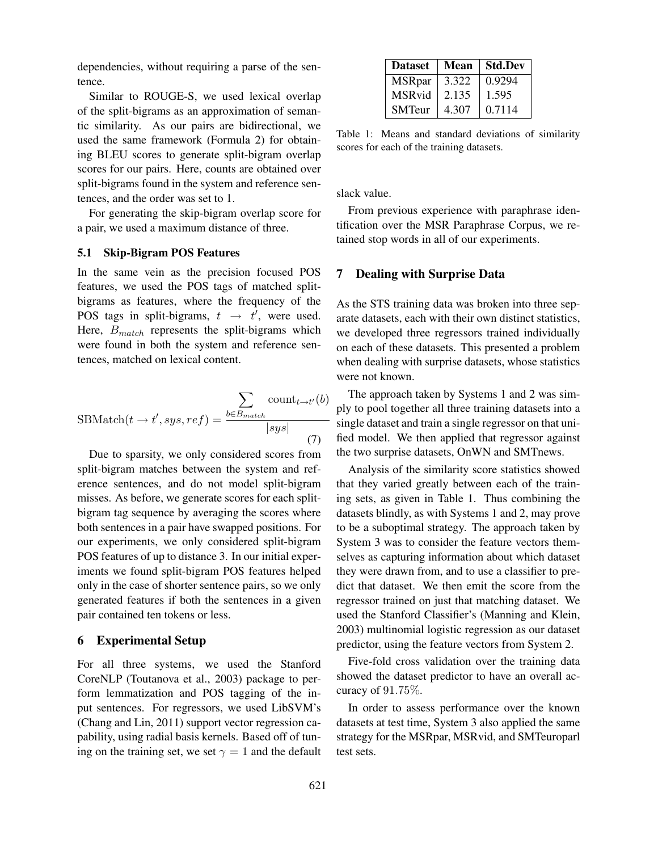dependencies, without requiring a parse of the sentence.

Similar to ROUGE-S, we used lexical overlap of the split-bigrams as an approximation of semantic similarity. As our pairs are bidirectional, we used the same framework (Formula 2) for obtaining BLEU scores to generate split-bigram overlap scores for our pairs. Here, counts are obtained over split-bigrams found in the system and reference sentences, and the order was set to 1.

For generating the skip-bigram overlap score for a pair, we used a maximum distance of three.

## 5.1 Skip-Bigram POS Features

In the same vein as the precision focused POS features, we used the POS tags of matched splitbigrams as features, where the frequency of the POS tags in split-bigrams,  $t \rightarrow t'$ , were used. Here,  $B<sub>match</sub>$  represents the split-bigrams which were found in both the system and reference sentences, matched on lexical content.

$$
SBMatch(t \to t', sys, ref) = \frac{\sum_{b \in B_{match}} count_{t \to t'}(b)}{|sys|}
$$
(7)

Due to sparsity, we only considered scores from split-bigram matches between the system and reference sentences, and do not model split-bigram misses. As before, we generate scores for each splitbigram tag sequence by averaging the scores where both sentences in a pair have swapped positions. For our experiments, we only considered split-bigram POS features of up to distance 3. In our initial experiments we found split-bigram POS features helped only in the case of shorter sentence pairs, so we only generated features if both the sentences in a given pair contained ten tokens or less.

#### 6 Experimental Setup

For all three systems, we used the Stanford CoreNLP (Toutanova et al., 2003) package to perform lemmatization and POS tagging of the input sentences. For regressors, we used LibSVM's (Chang and Lin, 2011) support vector regression capability, using radial basis kernels. Based off of tuning on the training set, we set  $\gamma = 1$  and the default

| <b>Dataset</b> | Mean  | <b>Std.Dev</b> |
|----------------|-------|----------------|
| <b>MSRpar</b>  | 3.322 | 0.9294         |
| MSRvid         | 2.135 | 1.595          |
| <b>SMTeur</b>  | 4.307 | 0.7114         |

Table 1: Means and standard deviations of similarity scores for each of the training datasets.

slack value.

From previous experience with paraphrase identification over the MSR Paraphrase Corpus, we retained stop words in all of our experiments.

## 7 Dealing with Surprise Data

As the STS training data was broken into three separate datasets, each with their own distinct statistics, we developed three regressors trained individually on each of these datasets. This presented a problem when dealing with surprise datasets, whose statistics were not known.

The approach taken by Systems 1 and 2 was simply to pool together all three training datasets into a single dataset and train a single regressor on that unified model. We then applied that regressor against the two surprise datasets, OnWN and SMTnews.

Analysis of the similarity score statistics showed that they varied greatly between each of the training sets, as given in Table 1. Thus combining the datasets blindly, as with Systems 1 and 2, may prove to be a suboptimal strategy. The approach taken by System 3 was to consider the feature vectors themselves as capturing information about which dataset they were drawn from, and to use a classifier to predict that dataset. We then emit the score from the regressor trained on just that matching dataset. We used the Stanford Classifier's (Manning and Klein, 2003) multinomial logistic regression as our dataset predictor, using the feature vectors from System 2.

Five-fold cross validation over the training data showed the dataset predictor to have an overall accuracy of 91.75%.

In order to assess performance over the known datasets at test time, System 3 also applied the same strategy for the MSRpar, MSRvid, and SMTeuroparl test sets.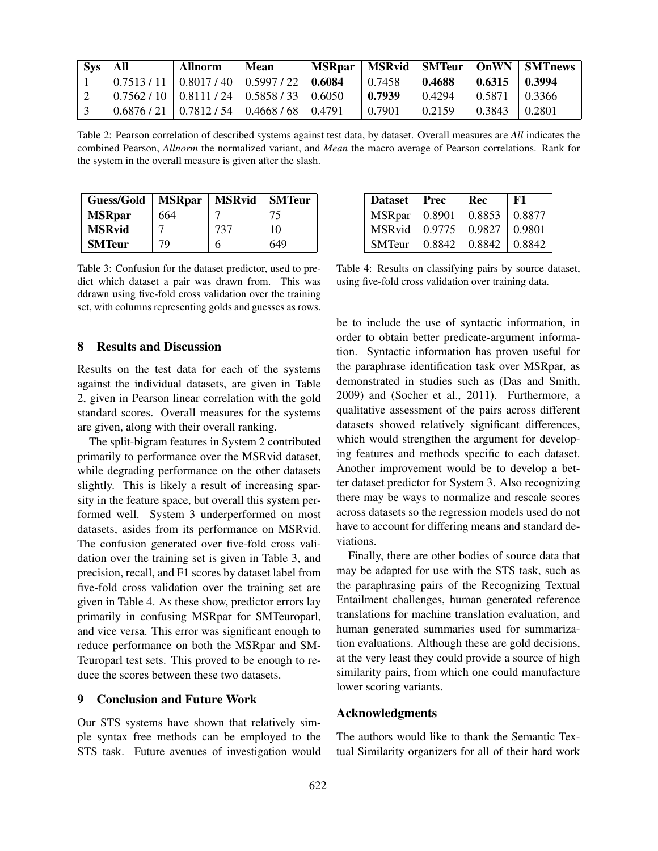| Sys | - All | Allnorm                                                     | Mean | <b>MSRpar</b> |        |        |                     | MSRvid   SMTeur   OnWN   SMTnews |
|-----|-------|-------------------------------------------------------------|------|---------------|--------|--------|---------------------|----------------------------------|
|     |       | $0.7513 / 11 \mid 0.8017 / 40 \mid 0.5997 / 22 \mid 0.6084$ |      |               | 0.7458 | 0.4688 | $0.6315 \pm 0.3994$ |                                  |
|     |       | $0.7562 / 10$   $0.8111 / 24$   $0.5858 / 33$   $0.6050$    |      |               | 0.7939 | 0.4294 | 0.5871              | $-10.3366$                       |
|     |       | $0.6876 / 21 \mid 0.7812 / 54 \mid 0.4668 / 68 \mid 0.4791$ |      |               | 0.7901 | 0.2159 | 0.3843              | 0.2801                           |

Table 2: Pearson correlation of described systems against test data, by dataset. Overall measures are *All* indicates the combined Pearson, *Allnorm* the normalized variant, and *Mean* the macro average of Pearson correlations. Rank for the system in the overall measure is given after the slash.

| Guess/Gold    | <b>MSRpar</b> | <b>MSRvid</b> | <b>SMTeur</b> |
|---------------|---------------|---------------|---------------|
| <b>MSRpar</b> | 664           |               | 75            |
| <b>MSRvid</b> |               | 737           | 10            |
| <b>SMTeur</b> | 79            | h             | 649           |

Table 3: Confusion for the dataset predictor, used to predict which dataset a pair was drawn from. This was ddrawn using five-fold cross validation over the training set, with columns representing golds and guesses as rows.

## 8 Results and Discussion

Results on the test data for each of the systems against the individual datasets, are given in Table 2, given in Pearson linear correlation with the gold standard scores. Overall measures for the systems are given, along with their overall ranking.

The split-bigram features in System 2 contributed primarily to performance over the MSRvid dataset, while degrading performance on the other datasets slightly. This is likely a result of increasing sparsity in the feature space, but overall this system performed well. System 3 underperformed on most datasets, asides from its performance on MSRvid. The confusion generated over five-fold cross validation over the training set is given in Table 3, and precision, recall, and F1 scores by dataset label from five-fold cross validation over the training set are given in Table 4. As these show, predictor errors lay primarily in confusing MSRpar for SMTeuroparl, and vice versa. This error was significant enough to reduce performance on both the MSRpar and SM-Teuroparl test sets. This proved to be enough to reduce the scores between these two datasets.

#### 9 Conclusion and Future Work

Our STS systems have shown that relatively simple syntax free methods can be employed to the STS task. Future avenues of investigation would

| <b>Dataset</b> | Prec   | Rec    | F1     |
|----------------|--------|--------|--------|
| <b>MSRpar</b>  | 0.8901 | 0.8853 | 0.8877 |
| <b>MSRvid</b>  | 0.9775 | 0.9827 | 0.9801 |
| <b>SMTeur</b>  | 0.8842 | 0.8842 | 0.8842 |

Table 4: Results on classifying pairs by source dataset, using five-fold cross validation over training data.

be to include the use of syntactic information, in order to obtain better predicate-argument information. Syntactic information has proven useful for the paraphrase identification task over MSRpar, as demonstrated in studies such as (Das and Smith, 2009) and (Socher et al., 2011). Furthermore, a qualitative assessment of the pairs across different datasets showed relatively significant differences, which would strengthen the argument for developing features and methods specific to each dataset. Another improvement would be to develop a better dataset predictor for System 3. Also recognizing there may be ways to normalize and rescale scores across datasets so the regression models used do not have to account for differing means and standard deviations.

Finally, there are other bodies of source data that may be adapted for use with the STS task, such as the paraphrasing pairs of the Recognizing Textual Entailment challenges, human generated reference translations for machine translation evaluation, and human generated summaries used for summarization evaluations. Although these are gold decisions, at the very least they could provide a source of high similarity pairs, from which one could manufacture lower scoring variants.

## Acknowledgments

The authors would like to thank the Semantic Textual Similarity organizers for all of their hard work